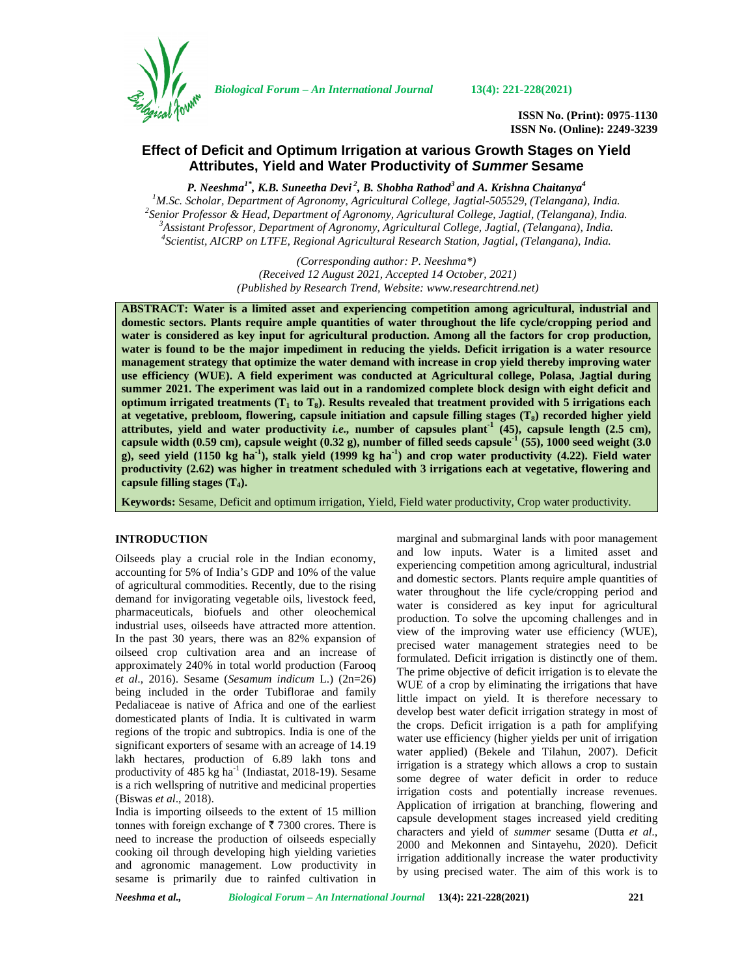

*Biological Forum – An International Journal* **13(4): 221-228(2021)**

**ISSN No. (Print): 0975-1130 ISSN No. (Online): 2249-3239**

# **Effect of Deficit and Optimum Irrigation at various Growth Stages on Yield Attributes, Yield and Water Productivity of** *Summer* **Sesame**

*P. Neeshma1\*, K.B. Suneetha Devi <sup>2</sup> , B. Shobha Rathod<sup>3</sup> and A. Krishna Chaitanya<sup>4</sup>* <sup>1</sup>M.Sc. Scholar, Department of Agronomy, Agricultural College, Jagtial-505529, (Telangana), India.<br><sup>2</sup> Senior Professor & Head, Department of Agronomy, Agricultural College, Jagtial, (Telangana), India.<br><sup>3</sup> Assistant Pro

> *(Corresponding author: P. Neeshma\*) (Received 12 August 2021, Accepted 14 October, 2021) (Published by Research Trend, Website: [www.researchtrend.net\)](www.researchtrend.net)*

**ABSTRACT: Water is a limited asset and experiencing competition among agricultural, industrial and domestic sectors. Plants require ample quantities of water throughout the life cycle/cropping period and water is considered as key input for agricultural production. Among all the factors for crop production, water is found to be the major impediment in reducing the yields. Deficit irrigation is a water resource management strategy that optimize the water demand with increase in crop yield thereby improving water use efficiency (WUE). A field experiment was conducted at Agricultural college, Polasa, Jagtial during summer 2021. The experiment was laid out in a randomized complete block design with eight deficit and optimum irrigated treatments (T<sup>1</sup> to T8). Results revealed that treatment provided with 5 irrigations each at vegetative, prebloom, flowering, capsule initiation and capsule filling stages (T8) recorded higher yield** attributes, yield and water productivity *i.e.*, number of capsules plant<sup>1</sup> (45), capsule length (2.5 cm), **capsule width (0.59 cm), capsule weight (0.32 g), number of filled seeds capsule-1 (55), 1000 seed weight (3.0 g), seed yield (1150 kg ha-1), stalk yield (1999 kg ha-1) and crop water productivity (4.22). Field water productivity (2.62) was higher in treatment scheduled with 3 irrigations each at vegetative, flowering and capsule filling stages (T4).**

**Keywords:** Sesame, Deficit and optimum irrigation, Yield, Field water productivity, Crop water productivity.

# **INTRODUCTION**

Oilseeds play a crucial role in the Indian economy, accounting for 5% of India's GDP and 10% of the value of agricultural commodities. Recently, due to the rising demand for invigorating vegetable oils, livestock feed, pharmaceuticals, biofuels and other oleochemical industrial uses, oilseeds have attracted more attention. In the past 30 years, there was an 82% expansion of oilseed crop cultivation area and an increase of approximately 240% in total world production (Farooq *et al*., 2016). Sesame (*Sesamum indicum* L.) (2n=26) being included in the order Tubiflorae and family Pedaliaceae is native of Africa and one of the earliest domesticated plants of India. It is cultivated in warm regions of the tropic and subtropics. India is one of the significant exporters of sesame with an acreage of 14.19 lakh hectares, production of 6.89 lakh tons and productivity of 485 kg ha<sup>-1</sup> (Indiastat, 2018-19). Sesame is a rich wellspring of nutritive and medicinal properties (Biswas *et al*., 2018).

India is importing oilseeds to the extent of 15 million tonnes with foreign exchange of  $\bar{\tau}$  7300 crores. There is need to increase the production of oilseeds especially cooking oil through developing high yielding varieties and agronomic management. Low productivity in sesame is primarily due to rainfed cultivation in marginal and submarginal lands with poor management and low inputs. Water is a limited asset and experiencing competition among agricultural, industrial and domestic sectors. Plants require ample quantities of water throughout the life cycle/cropping period and water is considered as key input for agricultural production. To solve the upcoming challenges and in view of the improving water use efficiency (WUE), precised water management strategies need to be formulated. Deficit irrigation is distinctly one of them. The prime objective of deficit irrigation is to elevate the WUE of a crop by eliminating the irrigations that have little impact on yield. It is therefore necessary to develop best water deficit irrigation strategy in most of the crops. Deficit irrigation is a path for amplifying water use efficiency (higher yields per unit of irrigation water applied) (Bekele and Tilahun, 2007). Deficit irrigation is a strategy which allows a crop to sustain some degree of water deficit in order to reduce irrigation costs and potentially increase revenues. Application of irrigation at branching, flowering and capsule development stages increased yield crediting characters and yield of *summer* sesame (Dutta *et al*., 2000 and Mekonnen and Sintayehu, 2020). Deficit irrigation additionally increase the water productivity by using precised water. The aim of this work is to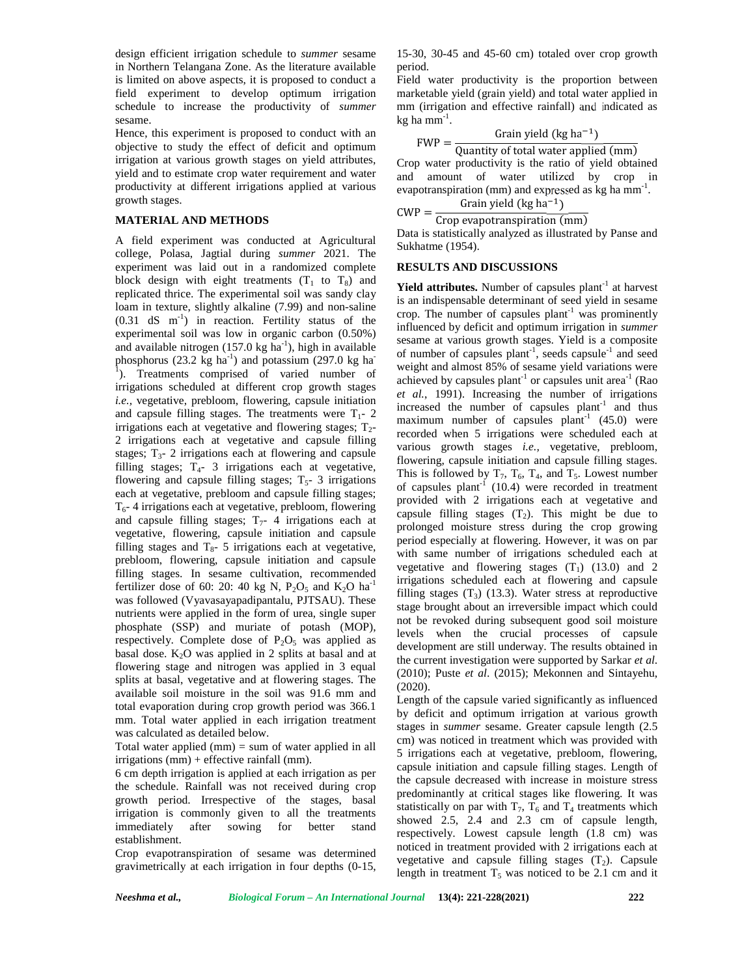design efficient irrigation schedule to *summer* sesame in Northern Telangana Zone. As the literature available is limited on above aspects, it is proposed to conduct a field experiment to develop optimum irrigation schedule to increase the productivity of *summer* sesame.

Hence, this experiment is proposed to conduct with an objective to study the effect of deficit and optimum irrigation at various growth stages on yield attributes, yield and to estimate crop water requirement and water productivity at different irrigations applied at various growth stages.

#### **MATERIAL AND METHODS**

A field experiment was conducted at Agricultural college, Polasa, Jagtial during *summer* 2021. The experiment was laid out in a randomized complete block design with eight treatments  $(T_1$  to  $T_8)$  and replicated thrice. The experimental soil was sandy clay loam in texture, slightly alkaline (7.99) and non-saline  $(0.31$  dS m<sup>-1</sup>) in reaction. Fertility status of the experimental soil was low in organic carbon (0.50%) and available nitrogen (157.0 kg ha<sup>-1</sup>), high in available phosphorus (23.2 kg ha<sup>-1</sup>) and potassium (297.0 kg ha<sup>-1</sup>)  $\bar{1}$ ). Treatments comprised of varied number of irrigations scheduled at different crop growth stages *i.e.,* vegetative, prebloom, flowering, capsule initiation and capsule filling stages. The treatments were  $T_1$ - 2 irrigations each at vegetative and flowering stages;  $T_2$ -2 irrigations each at vegetative and capsule filling stages;  $T_{3}$ - 2 irrigations each at flowering and capsule filling stages;  $T_{4}$ - 3 irrigations each at vegetative, flowering and capsule filling stages;  $T<sub>5</sub>$ - 3 irrigations each at vegetative, prebloom and capsule filling stages;  $T<sub>6</sub>$ - 4 irrigations each at vegetative, prebloom, flowering and capsule filling stages;  $T<sub>7</sub>$ - 4 irrigations each at vegetative, flowering, capsule initiation and capsule filling stages and  $T_{8}$ - 5 irrigations each at vegetative, prebloom, flowering, capsule initiation and capsule filling stages. In sesame cultivation, recommended fertilizer dose of 60: 20: 40 kg N,  $P_2O_5$  and  $K_2O$  ha<sup>-1</sup> was followed (Vyavasayapadipantalu, PJTSAU). These nutrients were applied in the form of urea, single super phosphate (SSP) and muriate of potash (MOP), respectively. Complete dose of  $P_2O_5$  was applied as basal dose.  $K_2O$  was applied in 2 splits at basal and at flowering stage and nitrogen was applied in 3 equal splits at basal, vegetative and at flowering stages. The available soil moisture in the soil was 91.6 mm and total evaporation during crop growth period was 366.1 mm. Total water applied in each irrigation treatment was calculated as detailed below.

Total water applied  $(mm) = sum of water applied in all$ irrigations (mm) + effective rainfall (mm).

6 cm depth irrigation is applied at each irrigation as per the schedule. Rainfall was not received during crop growth period. Irrespective of the stages, basal irrigation is commonly given to all the treatments immediately after sowing for better stand establishment.

Crop evapotranspiration of sesame was determined gravimetrically at each irrigation in four depths (0-15, 15-30, 30-45 and 45-60 cm) totaled over crop growth period.

Field water productivity is the proportion between marketable yield (grain yield) and total water applied in mm (irrigation and effective rainfall) and indicated as  $kg$  ha mm $^{-1}$ .

 $FWP = \frac{Grain yield (kg ha^{-1})}{Quantity of total water anplied (mm)}$ Quantity of total water applied (mm)

Crop water productivity is the ratio of yield obtained and amount of water utilized by crop in evapotranspiration (mm) and expressed as kg ha mm<sup>-1</sup>. Grain yield  $\left(\frac{1}{2}\right)^{-1}$ 

$$
CWP = \frac{GI}{G} \frac{GI}{GI} \frac{GI}{GI} \frac{GI}{GI} \frac{GI}{GI} \frac{GI}{GI} \frac{GI}{GI} \frac{GI}{GI} \frac{GI}{GI} \frac{GI}{GI} \frac{GI}{GI} \frac{GI}{GI} \frac{GI}{GI} \frac{GI}{GI} \frac{GI}{GI} \frac{GI}{GI} \frac{GI}{GI} \frac{GI}{GI} \frac{GI}{GI} \frac{GI}{GI} \frac{GI}{GI} \frac{GI}{GI} \frac{GI}{GI} \frac{GI}{GI} \frac{GI}{GI} \frac{GI}{GI} \frac{GI}{GI} \frac{GI}{GI} \frac{GI}{GI} \frac{GI}{GI} \frac{GI}{GI} \frac{GI}{GI} \frac{GI}{GI} \frac{GI}{GI} \frac{GI}{GI} \frac{GI}{GI} \frac{GI}{GI} \frac{GI}{GI} \frac{GI}{GI} \frac{GI}{GI} \frac{GI}{GI} \frac{GI}{GI} \frac{GI}{GI} \frac{GI}{GI} \frac{GI}{GI} \frac{GI}{GI} \frac{GI}{GI} \frac{GI}{GI} \frac{GI}{GI} \frac{GI}{GI} \frac{GI}{GI} \frac{GI}{GI} \frac{GI}{GI} \frac{GI}{GI} \frac{GI}{GI} \frac{GI}{GI} \frac{GI}{GI} \frac{GI}{GI} \frac{GI}{GI} \frac{GI}{GI} \frac{GI}{GI} \frac{GI}{GI} \frac{GI}{GI} \frac{GI}{GI} \frac{GI}{GI} \frac{GI}{GI} \frac{GI}{GI} \frac{GI}{GI} \frac{GI}{GI} \frac{GI}{GI} \frac{GI}{GI} \frac{GI}{GI} \frac{GI}{GI} \frac{GI}{GI} \frac{GI}{GI} \frac{GI}{GI} \frac{GI}{GI} \frac{GI}{GI} \frac{GI}{GI} \frac{GI}{GI} \frac{GI}{GI} \frac{GI}{GI} \frac{GI}{GI} \frac{GI}{GI} \
$$

 $CWP = \frac{C}{Crop\,evapotranspiration\,(mm)}$ Data is statistically analyzed as illustrated by Panse and Sukhatme (1954).

#### **RESULTS AND DISCUSSIONS**

**Yield attributes.** Number of capsules plant<sup>-1</sup> at harvest is an indispensable determinant of seed yield in sesame crop. The number of capsules  $plant^{-1}$  was prominently influenced by deficit and optimum irrigation in *summer* sesame at various growth stages. Yield is a composite of number of capsules plant<sup>-1</sup>, seeds capsule<sup>-1</sup> and seed weight and almost 85% of sesame yield variations were achieved by capsules plant<sup>-1</sup> or capsules unit area<sup>-1</sup> (Rao *et al.*, 1991). Increasing the number of irrigations increased the number of capsules  $plant^{-1}$  and thus maximum number of capsules plant<sup>-1</sup>  $(45.0)$  were recorded when 5 irrigations were scheduled each at various growth stages *i.e.,* vegetative, prebloom, flowering, capsule initiation and capsule filling stages. This is followed by  $T_7$ ,  $T_6$ ,  $T_4$ , and  $T_5$ . Lowest number of capsules plant<sup>-1</sup> (10.4) were recorded in treatment provided with 2 irrigations each at vegetative and capsule filling stages  $(T_2)$ . This might be due to prolonged moisture stress during the crop growing period especially at flowering. However, it was on par with same number of irrigations scheduled each at vegetative and flowering stages  $(T_1)$  (13.0) and 2 irrigations scheduled each at flowering and capsule filling stages  $(T_3)$  (13.3). Water stress at reproductive stage brought about an irreversible impact which could not be revoked during subsequent good soil moisture levels when the crucial processes of capsule development are still underway. The results obtained in the current investigation were supported by Sarkar *et al*. (2010); Puste *et al*. (2015); Mekonnen and Sintayehu, (2020).

Length of the capsule varied significantly as influenced by deficit and optimum irrigation at various growth stages in *summer* sesame. Greater capsule length (2.5 cm) was noticed in treatment which was provided with 5 irrigations each at vegetative, prebloom, flowering, capsule initiation and capsule filling stages. Length of the capsule decreased with increase in moisture stress predominantly at critical stages like flowering. It was statistically on par with  $T_7$ ,  $T_6$  and  $T_4$  treatments which showed 2.5, 2.4 and 2.3 cm of capsule length, respectively. Lowest capsule length (1.8 cm) was noticed in treatment provided with 2 irrigations each at vegetative and capsule filling stages  $(T_2)$ . Capsule length in treatment  $T_5$  was noticed to be 2.1 cm and it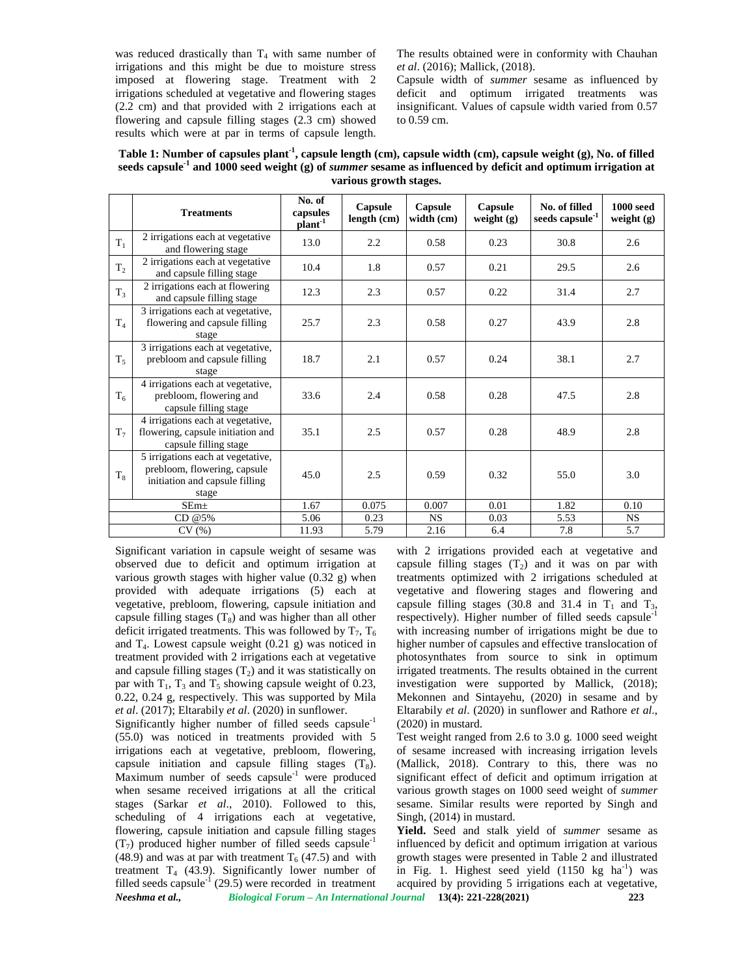was reduced drastically than  $T_4$  with same number of irrigations and this might be due to moisture stress imposed at flowering stage. Treatment with 2 irrigations scheduled at vegetative and flowering stages (2.2 cm) and that provided with 2 irrigations each at flowering and capsule filling stages (2.3 cm) showed results which were at par in terms of capsule length. The results obtained were in conformity with Chauhan *et al*. (2016); Mallick, (2018).

Capsule width of *summer* sesame as influenced by deficit and optimum irrigated treatments was insignificant. Values of capsule width varied from 0.57 to 0.59 cm.

| Table 1: Number of capsules plant <sup>-1</sup> , capsule length (cm), capsule width (cm), capsule weight (g), No. of filled      |  |
|-----------------------------------------------------------------------------------------------------------------------------------|--|
| seeds capsule <sup>-1</sup> and 1000 seed weight $(g)$ of <i>summer</i> sesame as influenced by deficit and optimum irrigation at |  |
| various growth stages.                                                                                                            |  |

|       | <b>Treatments</b>                                                                                            | No. of<br>capsules<br>$plant^{-1}$ | Capsule<br>length (cm) | Capsule<br>width (cm) | Capsule<br>weight (g) | No. of filled<br>seeds capsule <sup>-1</sup> | $1000$ seed<br>weight $(g)$ |
|-------|--------------------------------------------------------------------------------------------------------------|------------------------------------|------------------------|-----------------------|-----------------------|----------------------------------------------|-----------------------------|
| $T_1$ | 2 irrigations each at vegetative<br>and flowering stage                                                      | 13.0                               | 2.2                    | 0.58                  | 0.23                  | 30.8                                         | 2.6                         |
| $T_2$ | 2 irrigations each at vegetative<br>and capsule filling stage                                                | 10.4                               | 1.8                    | 0.57                  | 0.21                  | 29.5                                         | 2.6                         |
| $T_3$ | 2 irrigations each at flowering<br>and capsule filling stage                                                 | 12.3                               | 2.3                    | 0.57                  | 0.22                  | 31.4                                         | 2.7                         |
| $T_4$ | 3 irrigations each at vegetative,<br>flowering and capsule filling<br>stage                                  | 25.7                               | 2.3                    | 0.58                  | 0.27                  | 43.9                                         | 2.8                         |
| $T_5$ | 3 irrigations each at vegetative,<br>prebloom and capsule filling<br>stage                                   | 18.7                               | 2.1                    | 0.57                  | 0.24                  | 38.1                                         | 2.7                         |
| $T_6$ | 4 irrigations each at vegetative,<br>prebloom, flowering and<br>capsule filling stage                        | 33.6                               | 2.4                    | 0.58                  | 0.28                  | 47.5                                         | 2.8                         |
| $T_7$ | 4 irrigations each at vegetative,<br>flowering, capsule initiation and<br>capsule filling stage              | 35.1                               | 2.5                    | 0.57                  | 0.28                  | 48.9                                         | 2.8                         |
| $T_8$ | 5 irrigations each at vegetative,<br>prebloom, flowering, capsule<br>initiation and capsule filling<br>stage | 45.0                               | 2.5                    | 0.59                  | 0.32                  | 55.0                                         | 3.0                         |
|       | $SEm\pm$                                                                                                     | 1.67                               | 0.075                  | 0.007                 | 0.01                  | 1.82                                         | 0.10                        |
|       | CD@5%                                                                                                        | 5.06                               | 0.23                   | <b>NS</b>             | 0.03                  | 5.53                                         | <b>NS</b>                   |
|       | CV(%)                                                                                                        | 11.93                              | 5.79                   | 2.16                  | 6.4                   | 7.8                                          | 5.7                         |

Significant variation in capsule weight of sesame was observed due to deficit and optimum irrigation at various growth stages with higher value (0.32 g) when provided with adequate irrigations (5) each at vegetative, prebloom, flowering, capsule initiation and capsule filling stages  $(T_8)$  and was higher than all other deficit irrigated treatments. This was followed by  $T_7$ ,  $T_6$ and  $T_4$ . Lowest capsule weight  $(0.21 \text{ g})$  was noticed in treatment provided with 2 irrigations each at vegetative and capsule filling stages  $(T_2)$  and it was statistically on par with  $T_1$ ,  $T_3$  and  $T_5$  showing capsule weight of 0.23, 0.22, 0.24 g, respectively. This was supported by Mila *et al*. (2017); Eltarabily *et al*. (2020) in sunflower.

*Neeshma et al., Biological Forum – An International Journal* **13(4): 221-228(2021) 223** Significantly higher number of filled seeds capsule<sup>-1</sup> (55.0) was noticed in treatments provided with 5 irrigations each at vegetative, prebloom, flowering, capsule initiation and capsule filling stages  $(T_8)$ . Maximum number of seeds capsule $^{-1}$  were produced when sesame received irrigations at all the critical stages (Sarkar *et al*., 2010). Followed to this, scheduling of 4 irrigations each at vegetative, flowering, capsule initiation and capsule filling stages  $(T<sub>7</sub>)$  produced higher number of filled seeds capsule<sup>-1</sup> (48.9) and was at par with treatment  $T_6$  (47.5) and with treatment  $T_4$  (43.9). Significantly lower number of filled seeds capsule<sup>-1</sup> (29.5) were recorded in treatment

with 2 irrigations provided each at vegetative and capsule filling stages  $(T_2)$  and it was on par with treatments optimized with 2 irrigations scheduled at vegetative and flowering stages and flowering and capsule filling stages (30.8 and 31.4 in  $T_1$  and  $T_3$ , respectively). Higher number of filled seeds capsulewith increasing number of irrigations might be due to higher number of capsules and effective translocation of photosynthates from source to sink in optimum irrigated treatments. The results obtained in the current investigation were supported by Mallick, (2018); Mekonnen and Sintayehu, (2020) in sesame and by Eltarabily *et al*. (2020) in sunflower and Rathore *et al*., (2020) in mustard.

Test weight ranged from 2.6 to 3.0 g. 1000 seed weight of sesame increased with increasing irrigation levels (Mallick, 2018). Contrary to this, there was no significant effect of deficit and optimum irrigation at various growth stages on 1000 seed weight of *summer* sesame. Similar results were reported by Singh and Singh, (2014) in mustard.

**Yield.** Seed and stalk yield of *summer* sesame as influenced by deficit and optimum irrigation at various growth stages were presented in Table 2 and illustrated in Fig. 1. Highest seed yield  $(1150 \text{ kg } \text{ha}^{-1})$  was acquired by providing 5 irrigations each at vegetative,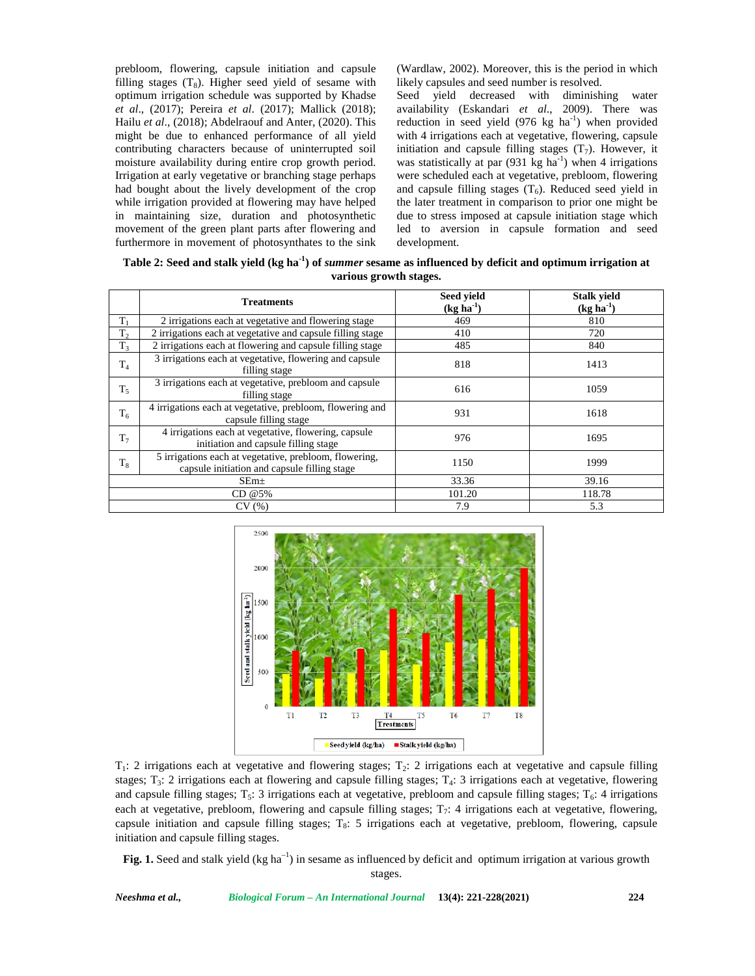prebloom, flowering, capsule initiation and capsule filling stages  $(T_8)$ . Higher seed yield of sesame with optimum irrigation schedule was supported by Khadse *et al*., (2017); Pereira *et al*. (2017); Mallick (2018); Hailu *et al*., (2018); Abdelraouf and Anter, (2020). This might be due to enhanced performance of all yield contributing characters because of uninterrupted soil moisture availability during entire crop growth period. Irrigation at early vegetative or branching stage perhaps had bought about the lively development of the crop while irrigation provided at flowering may have helped in maintaining size, duration and photosynthetic movement of the green plant parts after flowering and furthermore in movement of photosynthates to the sink (Wardlaw, 2002). Moreover, this is the period in which likely capsules and seed number is resolved.

Seed yield decreased with diminishing water availability (Eskandari *et al*., 2009). There was reduction in seed yield  $(976 \text{ kg } \text{ha}^{-1})$  when provided with 4 irrigations each at vegetative, flowering, capsule initiation and capsule filling stages  $(T_7)$ . However, it was statistically at par  $(931 \text{ kg ha}^{-1})$  when 4 irrigations were scheduled each at vegetative, prebloom, flowering and capsule filling stages  $(T_6)$ . Reduced seed yield in the later treatment in comparison to prior one might be due to stress imposed at capsule initiation stage which led to aversion in capsule formation and seed development.

**Table 2: Seed and stalk yield (kg ha-1) of** *summer* **sesame as influenced by deficit and optimum irrigation at various growth stages.**

|                | <b>Treatments</b>                                                                                      | Seed yield<br>$(kg ha-1)$ | <b>Stalk yield</b><br>$(kg ha-1)$ |
|----------------|--------------------------------------------------------------------------------------------------------|---------------------------|-----------------------------------|
| $T_1$          | 2 irrigations each at vegetative and flowering stage                                                   | 469                       | 810                               |
| T <sub>2</sub> | 2 irrigations each at vegetative and capsule filling stage                                             | 410                       | 720                               |
| $T_3$          | 2 irrigations each at flowering and capsule filling stage                                              | 485                       | 840                               |
| T <sub>4</sub> | 3 irrigations each at vegetative, flowering and capsule<br>filling stage                               | 818                       | 1413                              |
| $T_5$          | 3 irrigations each at vegetative, prebloom and capsule<br>filling stage                                | 616                       | 1059                              |
| $T_6$          | 4 irrigations each at vegetative, prebloom, flowering and<br>capsule filling stage                     | 931                       | 1618                              |
| T <sub>7</sub> | 4 irrigations each at vegetative, flowering, capsule<br>initiation and capsule filling stage           | 976                       | 1695                              |
| $T_8$          | 5 irrigations each at vegetative, prebloom, flowering,<br>capsule initiation and capsule filling stage | 1150                      | 1999                              |
|                | SEm <sub>±</sub>                                                                                       | 33.36                     | 39.16                             |
|                | CD @5%                                                                                                 | 101.20                    | 118.78                            |
|                | CV(%)                                                                                                  | 7.9                       | 5.3                               |



 $T_1$ : 2 irrigations each at vegetative and flowering stages;  $T_2$ : 2 irrigations each at vegetative and capsule filling stages;  $T_3$ : 2 irrigations each at flowering and capsule filling stages;  $T_4$ : 3 irrigations each at vegetative, flowering and capsule filling stages;  $T_5$ : 3 irrigations each at vegetative, prebloom and capsule filling stages;  $T_6$ : 4 irrigations each at vegetative, prebloom, flowering and capsule filling stages;  $T<sub>7</sub>$ : 4 irrigations each at vegetative, flowering, capsule initiation and capsule filling stages;  $T_8$ : 5 irrigations each at vegetative, prebloom, flowering, capsule initiation and capsule filling stages.

**Fig. 1.** Seed and stalk yield (kg ha<sup>-1</sup>) in sesame as influenced by deficit and optimum irrigation at various growth stages.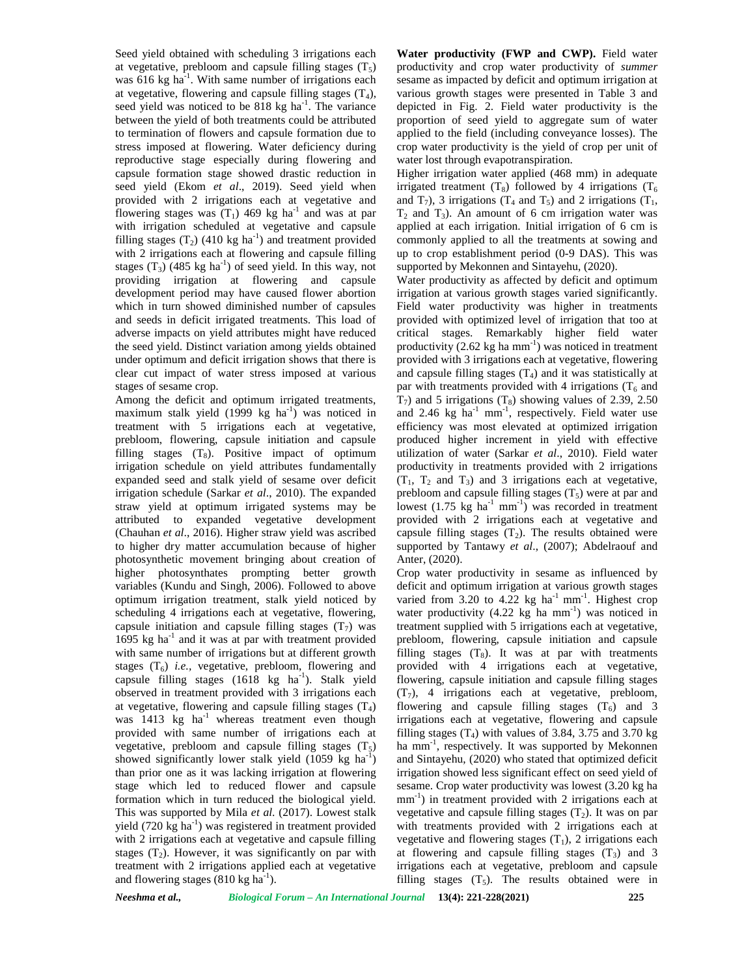Seed yield obtained with scheduling 3 irrigations each at vegetative, prebloom and capsule filling stages  $(T_5)$ was  $616$  kg ha<sup>-1</sup>. With same number of irrigations each sesan at vegetative, flowering and capsule filling stages  $(T_4)$ , seed yield was noticed to be  $818 \text{ kg} \text{ ha}^{-1}$ . The variance depi between the yield of both treatments could be attributed to termination of flowers and capsule formation due to stress imposed at flowering. Water deficiency during reproductive stage especially during flowering and capsule formation stage showed drastic reduction in seed yield (Ekom *et al*., 2019). Seed yield when provided with 2 irrigations each at vegetative and flowering stages was  $(T_1)$  469 kg ha<sup>-1</sup> and was at par with irrigation scheduled at vegetative and capsule filling stages  $(T_2)$  (410 kg ha<sup>-1</sup>) and treatment provided with 2 irrigations each at flowering and capsule filling stages  $(T_3)$  (485 kg ha<sup>-1</sup>) of seed yield. In this way, not providing irrigation at flowering and capsule development period may have caused flower abortion which in turn showed diminished number of capsules and seeds in deficit irrigated treatments. This load of adverse impacts on yield attributes might have reduced the seed yield. Distinct variation among yields obtained under optimum and deficit irrigation shows that there is clear cut impact of water stress imposed at various stages of sesame crop.

Among the deficit and optimum irrigated treatments, maximum stalk yield  $(1999 \text{ kg } \text{ha}^{-1})$  was noticed in treatment with 5 irrigations each at vegetative, prebloom, flowering, capsule initiation and capsule filling stages  $(T_8)$ . Positive impact of optimum irrigation schedule on yield attributes fundamentally expanded seed and stalk yield of sesame over deficit irrigation schedule (Sarkar *et al*., 2010). The expanded straw yield at optimum irrigated systems may be attributed to expanded vegetative development (Chauhan *et al*., 2016). Higher straw yield was ascribed to higher dry matter accumulation because of higher photosynthetic movement bringing about creation of higher photosynthates prompting better growth variables (Kundu and Singh, 2006). Followed to above optimum irrigation treatment, stalk yield noticed by scheduling 4 irrigations each at vegetative, flowering, capsule initiation and capsule filling stages  $(T_7)$  was  $1695$  kg ha<sup>-1</sup> and it was at par with treatment provided with same number of irrigations but at different growth stages  $(T_6)$  *i.e.*, vegetative, prebloom, flowering and capsule filling stages  $(1618 \text{ kg} \text{ ha}^{-1})$ . Stalk yield observed in treatment provided with 3 irrigations each at vegetative, flowering and capsule filling stages  $(T_4)$ was  $1413$  kg ha<sup>-1</sup> whereas treatment even though provided with same number of irrigations each at vegetative, prebloom and capsule filling stages  $(T_5)$ showed significantly lower stalk yield  $(1059 \text{ kg ha}^{-1})$ than prior one as it was lacking irrigation at flowering stage which led to reduced flower and capsule formation which in turn reduced the biological yield. This was supported by Mila *et al*. (2017). Lowest stalk yield  $(720 \text{ kg ha}^{-1})$  was registered in treatment provided with 2 irrigations each at vegetative and capsule filling stages  $(T_2)$ . However, it was significantly on par with treatment with 2 irrigations applied each at vegetative and flowering stages  $(810 \text{ kg ha}^{-1})$ .

**Water productivity (FWP and CWP).** Field water productivity and crop water productivity of *summer* sesame as impacted by deficit and optimum irrigation at various growth stages were presented in Table 3 and depicted in Fig. 2. Field water productivity is the proportion of seed yield to aggregate sum of water applied to the field (including conveyance losses). The crop water productivity is the yield of crop per unit of water lost through evapotranspiration.

Higher irrigation water applied (468 mm) in adequate irrigated treatment  $(T_8)$  followed by 4 irrigations  $(T_6)$ and  $T_7$ ), 3 irrigations ( $T_4$  and  $T_5$ ) and 2 irrigations ( $T_1$ ,  $T_2$  and  $T_3$ ). An amount of 6 cm irrigation water was applied at each irrigation. Initial irrigation of 6 cm is commonly applied to all the treatments at sowing and up to crop establishment period (0-9 DAS). This was supported by Mekonnen and Sintayehu, (2020).

Water productivity as affected by deficit and optimum irrigation at various growth stages varied significantly. Field water productivity was higher in treatments provided with optimized level of irrigation that too at critical stages. Remarkably higher field water productivity  $(2.62 \text{ kg ha mm}^{-1})$  was noticed in treatment provided with 3 irrigations each at vegetative, flowering and capsule filling stages  $(T_4)$  and it was statistically at par with treatments provided with 4 irrigations  $(T_6$  and  $T_7$ ) and 5 irrigations  $(T_8)$  showing values of 2.39, 2.50 and 2.46  $kg$  ha<sup>-1</sup> mm<sup>-1</sup>, respectively. Field water use efficiency was most elevated at optimized irrigation produced higher increment in yield with effective utilization of water (Sarkar *et al*., 2010). Field water productivity in treatments provided with 2 irrigations  $(T_1, T_2, T_3)$  and 3 irrigations each at vegetative, prebloom and capsule filling stages  $(T_5)$  were at par and lowest  $(1.75 \text{ kg} \text{ ha}^{-1} \text{ mm}^{-1})$  was recorded in treatment provided with 2 irrigations each at vegetative and capsule filling stages  $(T_2)$ . The results obtained were supported by Tantawy *et al*., (2007); Abdelraouf and Anter, (2020).

Crop water productivity in sesame as influenced by deficit and optimum irrigation at various growth stages varied from  $3.20$  to  $4.22$  kg ha<sup>-1</sup> mm<sup>-1</sup>. Highest crop water productivity  $(4.22 \text{ kg} \text{ ha } \text{mm}^{-1})$  was noticed in treatment supplied with 5 irrigations each at vegetative, prebloom, flowering, capsule initiation and capsule filling stages  $(T_8)$ . It was at par with treatments provided with 4 irrigations each at vegetative, flowering, capsule initiation and capsule filling stages  $(T<sub>7</sub>)$ , 4 irrigations each at vegetative, prebloom, flowering and capsule filling stages  $(T_6)$  and 3 irrigations each at vegetative, flowering and capsule filling stages  $(T_4)$  with values of 3.84, 3.75 and 3.70 kg ha mm<sup>-1</sup>, respectively. It was supported by Mekonnen and Sintayehu, (2020) who stated that optimized deficit irrigation showed less significant effect on seed yield of sesame. Crop water productivity was lowest (3.20 kg ha  $mm<sup>-1</sup>$ ) in treatment provided with 2 irrigations each at vegetative and capsule filling stages  $(T_2)$ . It was on par with treatments provided with 2 irrigations each at vegetative and flowering stages  $(T_1)$ , 2 irrigations each at flowering and capsule filling stages  $(T_3)$  and 3 irrigations each at vegetative, prebloom and capsule filling stages  $(T_5)$ . The results obtained were in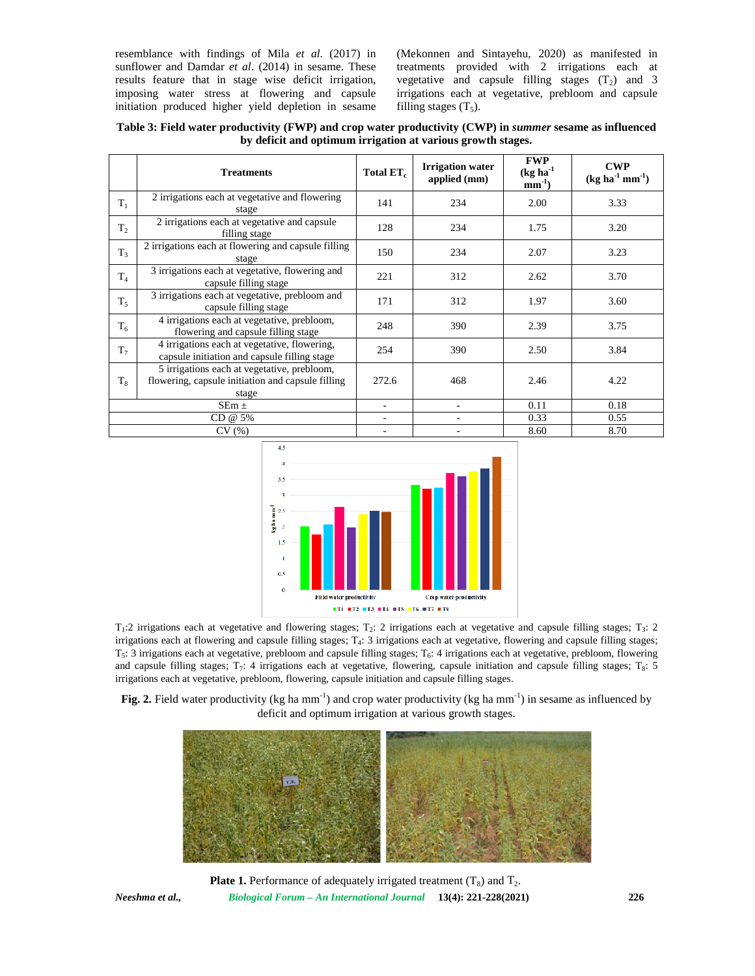resemblance with findings of Mila *et al*. (2017) in sunflower and Damdar *et al*. (2014) in sesame. These results feature that in stage wise deficit irrigation, imposing water stress at flowering and capsule initiation produced higher yield depletion in sesame (Mekonnen and Sintayehu, 2020) as manifested in treatments provided with 2 irrigations each at vegetative and capsule filling stages  $(T_2)$  and 3 irrigations each at vegetative, prebloom and capsule filling stages  $(T_5)$ .

**Table 3: Field water productivity (FWP) and crop water productivity (CWP) in** *summer* **sesame as influenced by deficit and optimum irrigation at various growth stages.**

|                | <b>Treatments</b>                                                                                         | Total ET <sub>c</sub>    | <b>Irrigation water</b><br>applied (mm) | <b>FWP</b><br>$(kg ha-1)$<br>$mm^{-1}$ ) | <b>CWP</b><br>$(kg ha^{-1} mm^{-1})$ |
|----------------|-----------------------------------------------------------------------------------------------------------|--------------------------|-----------------------------------------|------------------------------------------|--------------------------------------|
| $T_1$          | 2 irrigations each at vegetative and flowering<br>stage                                                   | 141                      | 234                                     | 2.00                                     | 3.33                                 |
| $T_{2}$        | 2 irrigations each at vegetative and capsule<br>filling stage                                             | 128                      | 234                                     | 1.75                                     | 3.20                                 |
| $T_3$          | 2 irrigations each at flowering and capsule filling<br>stage                                              | 150                      | 234                                     | 2.07                                     | 3.23                                 |
| T <sub>4</sub> | 3 irrigations each at vegetative, flowering and<br>capsule filling stage                                  | 221                      | 312                                     | 2.62                                     | 3.70                                 |
| $T_5$          | 3 irrigations each at vegetative, prebloom and<br>capsule filling stage                                   | 171                      | 312                                     | 1.97                                     | 3.60                                 |
| $T_6$          | 4 irrigations each at vegetative, prebloom,<br>flowering and capsule filling stage                        | 248                      | 390                                     | 2.39                                     | 3.75                                 |
| $T_7$          | 4 irrigations each at vegetative, flowering,<br>capsule initiation and capsule filling stage              | 254                      | 390                                     | 2.50                                     | 3.84                                 |
| $T_8$          | 5 irrigations each at vegetative, prebloom,<br>flowering, capsule initiation and capsule filling<br>stage | 272.6                    | 468                                     | 2.46                                     | 4.22                                 |
| $SEm \pm$      |                                                                                                           | $\overline{\phantom{0}}$ | $\overline{\phantom{0}}$                | 0.11                                     | 0.18                                 |
| CD @ 5%        |                                                                                                           | ٠                        |                                         | 0.33                                     | 0.55                                 |
| CV(%)          |                                                                                                           |                          |                                         | 8.60                                     | 8.70                                 |



 $T_1$ :2 irrigations each at vegetative and flowering stages;  $T_2$ : 2 irrigations each at vegetative and capsule filling stages;  $T_3$ : 2 irrigations each at flowering and capsule filling stages; T<sup>4</sup> : 3 irrigations each at vegetative, flowering and capsule filling stages;  $T_5$ : 3 irrigations each at vegetative, prebloom and capsule filling stages;  $T_6$ : 4 irrigations each at vegetative, prebloom, flowering and capsule filling stages;  $T_7$ : 4 irrigations each at vegetative, flowering, capsule initiation and capsule filling stages;  $T_8$ : 5 irrigations each at vegetative, prebloom, flowering, capsule initiation and capsule filling stages.

**Fig. 2.** Field water productivity (kg ha mm<sup>-1</sup>) and crop water productivity (kg ha mm<sup>-1</sup>) in sesame as influenced by deficit and optimum irrigation at various growth stages.



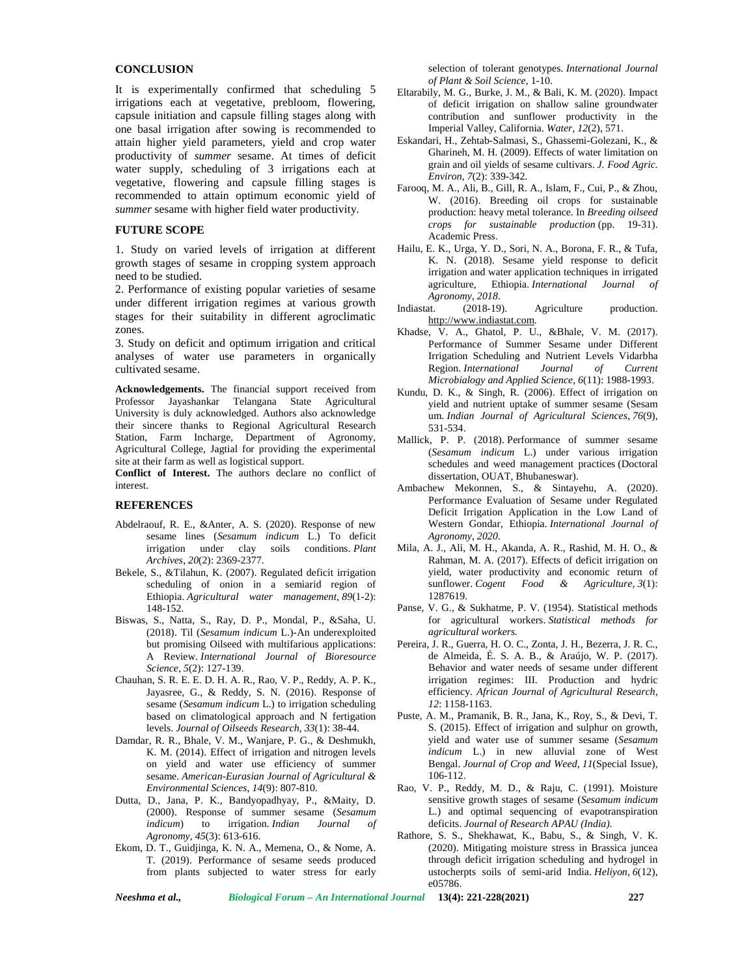### **CONCLUSION**

It is experimentally confirmed that scheduling 5 irrigations each at vegetative, prebloom, flowering, capsule initiation and capsule filling stages along with one basal irrigation after sowing is recommended to attain higher yield parameters, yield and crop water productivity of *summer* sesame. At times of deficit water supply, scheduling of 3 irrigations each at vegetative, flowering and capsule filling stages is recommended to attain optimum economic yield of *summer* sesame with higher field water productivity.

## **FUTURE SCOPE**

1. Study on varied levels of irrigation at different growth stages of sesame in cropping system approach need to be studied.

2. Performance of existing popular varieties of sesame under different irrigation regimes at various growth  $\frac{A_8}{\text{Indiastat.}}$ stages for their suitability in different agroclimatic zones.

3. Study on deficit and optimum irrigation and critical analyses of water use parameters in organically cultivated sesame.

**Acknowledgements.** The financial support received from Professor Jayashankar Telangana State Agricultural University is duly acknowledged. Authors also acknowledge their sincere thanks to Regional Agricultural Research Station, Farm Incharge, Department of Agronomy, Agricultural College, Jagtial for providing the experimental site at their farm as well as logistical support.

**Conflict of Interest.** The authors declare no conflict of interest.

#### **REFERENCES**

- Abdelraouf, R. E., &Anter, A. S. (2020). Response of new sesame lines (*Sesamum indicum* L.) To deficit irrigation under clay soils conditions. *Plant Archives*, *20*(2): 2369-2377.
- Bekele, S., &Tilahun, K. (2007). Regulated deficit irrigation scheduling of onion in a semiarid region of Ethiopia. *Agricultural water management*, *89*(1-2): 148-152.
- Biswas, S., Natta, S., Ray, D. P., Mondal, P., &Saha, U. (2018). Til (*Sesamum indicum* L.)-An underexploited but promising Oilseed with multifarious applications: A Review. *International Journal of Bioresource Science*, *5*(2): 127-139.
- Chauhan, S. R. E. E. D. H. A. R., Rao, V. P., Reddy, A. P. K., Jayasree, G., & Reddy, S. N. (2016). Response of sesame (*Sesamum indicum* L.) to irrigation scheduling based on climatological approach and N fertigation levels. *Journal of Oilseeds Research*, *33*(1): 38-44.
- Damdar, R. R., Bhale, V. M., Wanjare, P. G., & Deshmukh, K. M. (2014). Effect of irrigation and nitrogen levels on yield and water use efficiency of summer sesame. *American-Eurasian Journal of Agricultural & Environmental Sciences*, *14*(9): 807-810.
- Dutta, D., Jana, P. K., Bandyopadhyay, P., &Maity, D. (2000). Response of summer sesame (*Sesamum indicum*) to irrigation. *Indian Journal of Agronomy*, *45*(3): 613-616.
- Ekom, D. T., Guidjinga, K. N. A., Memena, O., & Nome, A. T. (2019). Performance of sesame seeds produced from plants subjected to water stress for early

selection of tolerant genotypes. *International Journal of Plant & Soil Science*, 1-10.

- Eltarabily, M. G., Burke, J. M., & Bali, K. M. (2020). Impact of deficit irrigation on shallow saline groundwater contribution and sunflower productivity in the Imperial Valley, California. *Water*, *12*(2), 571.
- Eskandari, H., Zehtab-Salmasi, S., Ghassemi-Golezani, K., & Gharineh, M. H. (2009). Effects of water limitation on grain and oil yields of sesame cultivars. *J. Food Agric. Environ*, *7*(2): 339-342.
- Farooq, M. A., Ali, B., Gill, R. A., Islam, F., Cui, P., & Zhou, W. (2016). Breeding oil crops for sustainable production: heavy metal tolerance. In *Breeding oilseed crops for sustainable production* (pp. 19-31). Academic Press.
- Hailu, E. K., Urga, Y. D., Sori, N. A., Borona, F. R., & Tufa, K. N. (2018). Sesame yield response to deficit irrigation and water application techniques in irrigated agriculture, Ethiopia. *International Journal of Agronomy*, *2018*.
- $(2018-19)$ . Agriculture production. <http://www.indiastat.com>.
- Khadse, V. A., Ghatol, P. U., &Bhale, V. M. (2017). Performance of Summer Sesame under Different Irrigation Scheduling and Nutrient Levels Vidarbha Region. *International Journal of Current Microbialogy and Applied Science*, *6*(11): 1988-1993.
- Kundu, D. K., & Singh, R. (2006). Effect of irrigation on yield and nutrient uptake of summer sesame (Sesam um. *Indian Journal of Agricultural Sciences*, *76*(9), 531-534.
- Mallick, P. P. (2018). Performance of summer sesame (*Sesamum indicum* L.) under various irrigation schedules and weed management practices (Doctoral dissertation, OUAT, Bhubaneswar).
- Ambachew Mekonnen, S., & Sintayehu, A. (2020). Performance Evaluation of Sesame under Regulated Deficit Irrigation Application in the Low Land of Western Gondar, Ethiopia. *International Journal of Agronomy*, *2020*.
- Mila, A. J., Ali, M. H., Akanda, A. R., Rashid, M. H. O., & Rahman, M. A. (2017). Effects of deficit irrigation on yield, water productivity and economic return of sunflower. *Cogent Food & Agriculture*, *3*(1): 1287619.
- Panse, V. G., & Sukhatme, P. V. (1954). Statistical methods for agricultural workers. *Statistical methods for agricultural workers.*
- Pereira, J. R., Guerra, H. O. C., Zonta, J. H., Bezerra, J. R. C., de Almeida, É. S. A. B., & Araújo, W. P. (2017). Behavior and water needs of sesame under different irrigation regimes: III. Production and hydric efficiency. *African Journal of Agricultural Research, 12*: 1158-1163.
- Puste, A. M., Pramanik, B. R., Jana, K., Roy, S., & Devi, T. S. (2015). Effect of irrigation and sulphur on growth, yield and water use of summer sesame (*Sesamum indicum* L.) in new alluvial zone of West Bengal. *Journal of Crop and Weed*, *11*(Special Issue), 106-112.
- Rao, V. P., Reddy, M. D., & Raju, C. (1991). Moisture sensitive growth stages of sesame (*Sesamum indicum* L.) and optimal sequencing of evapotranspiration deficits. *Journal of Research APAU (India)*.
- Rathore, S. S., Shekhawat, K., Babu, S., & Singh, V. K. (2020). Mitigating moisture stress in Brassica juncea through deficit irrigation scheduling and hydrogel in ustocherpts soils of semi-arid India. *Heliyon*, *6*(12), e05786.

*Neeshma et al., Biological Forum – An International Journal* **13(4): 221-228(2021) 227**